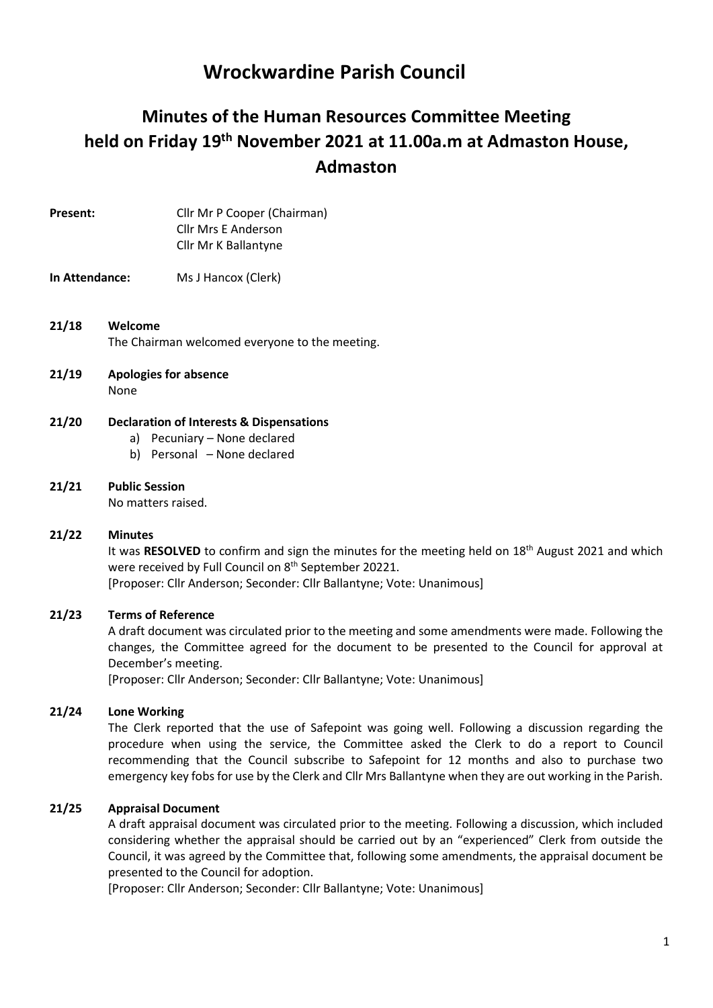# Wrockwardine Parish Council

# Minutes of the Human Resources Committee Meeting held on Friday 19th November 2021 at 11.00a.m at Admaston House, Admaston

Present: Cllr Mr P Cooper (Chairman) Cllr Mrs E Anderson Cllr Mr K Ballantyne

#### In Attendance: Ms J Hancox (Clerk)

#### 21/18 Welcome The Chairman welcomed everyone to the meeting.

21/19 Apologies for absence None

#### 21/20 Declaration of Interests & Dispensations

- a) Pecuniary None declared
- b) Personal None declared

## 21/21 Public Session

No matters raised.

#### 21/22 Minutes

It was RESOLVED to confirm and sign the minutes for the meeting held on 18<sup>th</sup> August 2021 and which were received by Full Council on 8<sup>th</sup> September 20221.

[Proposer: Cllr Anderson; Seconder: Cllr Ballantyne; Vote: Unanimous]

#### 21/23 Terms of Reference

A draft document was circulated prior to the meeting and some amendments were made. Following the changes, the Committee agreed for the document to be presented to the Council for approval at December's meeting.

[Proposer: Cllr Anderson; Seconder: Cllr Ballantyne; Vote: Unanimous]

#### 21/24 Lone Working

The Clerk reported that the use of Safepoint was going well. Following a discussion regarding the procedure when using the service, the Committee asked the Clerk to do a report to Council recommending that the Council subscribe to Safepoint for 12 months and also to purchase two emergency key fobs for use by the Clerk and Cllr Mrs Ballantyne when they are out working in the Parish.

#### 21/25 Appraisal Document

A draft appraisal document was circulated prior to the meeting. Following a discussion, which included considering whether the appraisal should be carried out by an "experienced" Clerk from outside the Council, it was agreed by the Committee that, following some amendments, the appraisal document be presented to the Council for adoption.

[Proposer: Cllr Anderson; Seconder: Cllr Ballantyne; Vote: Unanimous]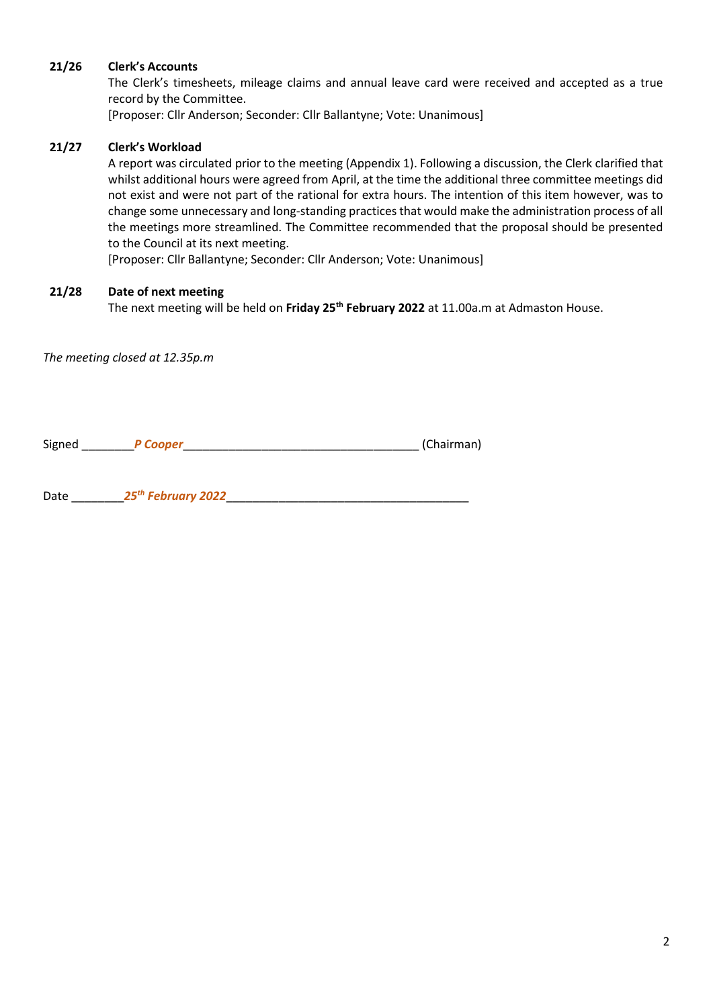#### 21/26 Clerk's Accounts

The Clerk's timesheets, mileage claims and annual leave card were received and accepted as a true record by the Committee.

[Proposer: Cllr Anderson; Seconder: Cllr Ballantyne; Vote: Unanimous]

#### 21/27 Clerk's Workload

A report was circulated prior to the meeting (Appendix 1). Following a discussion, the Clerk clarified that whilst additional hours were agreed from April, at the time the additional three committee meetings did not exist and were not part of the rational for extra hours. The intention of this item however, was to change some unnecessary and long-standing practices that would make the administration process of all the meetings more streamlined. The Committee recommended that the proposal should be presented to the Council at its next meeting.

[Proposer: Cllr Ballantyne; Seconder: Cllr Anderson; Vote: Unanimous]

#### 21/28 Date of next meeting

The next meeting will be held on Friday 25<sup>th</sup> February 2022 at 11.00a.m at Admaston House.

The meeting closed at 12.35p.m

Signed \_\_\_\_\_\_\_\_P Cooper\_\_\_\_\_\_\_\_\_\_\_\_\_\_\_\_\_\_\_\_\_\_\_\_\_\_\_\_\_\_\_\_\_\_\_\_ (Chairman)

Date  $25^{th}$  February 2022